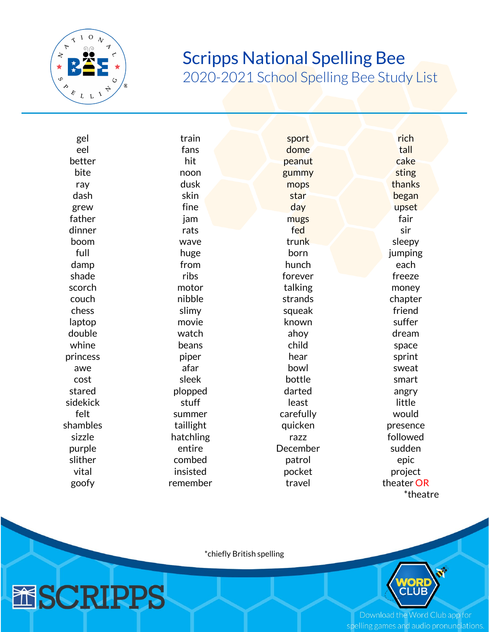

**MSCRIPPS** 

## Scripps National Spelling Bee

2020-2021 School Spelling Bee Study List

| gel      | train     | sport     | rich       |
|----------|-----------|-----------|------------|
| eel      | fans      | dome      | tall       |
| better   | hit       | peanut    | cake       |
| bite     | noon      | gummy     | sting      |
| ray      | dusk      | mops      | thanks     |
| dash     | skin      | star      | began      |
| grew     | fine      | day       | upset      |
| father   | jam       | mugs      | fair       |
| dinner   | rats      | fed       | sir        |
| boom     | wave      | trunk     | sleepy     |
| full     | huge      | born      | jumping    |
| damp     | from      | hunch     | each       |
| shade    | ribs      | forever   | freeze     |
| scorch   | motor     | talking   | money      |
| couch    | nibble    | strands   | chapter    |
| chess    | slimy     | squeak    | friend     |
| laptop   | movie     | known     | suffer     |
| double   | watch     | ahoy      | dream      |
| whine    | beans     | child     | space      |
| princess | piper     | hear      | sprint     |
| awe      | afar      | bowl      | sweat      |
| cost     | sleek     | bottle    | smart      |
| stared   | plopped   | darted    | angry      |
| sidekick | stuff     | least     | little     |
| felt     | summer    | carefully | would      |
| shambles | taillight | quicken   | presence   |
| sizzle   | hatchling | razz      | followed   |
| purple   | entire    | December  | sudden     |
| slither  | combed    | patrol    | epic       |
| vital    | insisted  | pocket    | project    |
| goofy    | remember  | travel    | theater OR |
|          |           |           | *theatre   |

\*chiefly British spelling



Download the Word Club app for spelling games and audio pronunciations.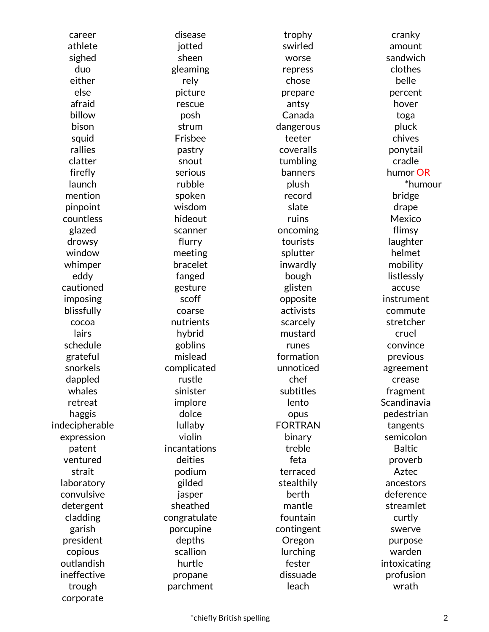career disease trophy cranky firefly launch countless hideout hideout ruins Mexico whimper bracelet inwardly mobility cautioned gesture glisten accuse imposing and scoff opposite instrument indecipherable and lullaby **FORTRAN** tangents expression violin binary semicolon ventured deities feta proverb laboratory example and gilded stealthily stealthily ancestors convulsive jasper berth deference detergent sheathed mantle streamlet president depths Oregon purpose outlandish hurtle fester intoxicating ineffective **propane** propane dissuade profusion

corporate

athlete jotted swirled amount sighed sheen worse sandwich duo eleaming repress clothes either rely chose belle else picture prepare percent afraid rescue antsy hover billow posh Canada toga bison strum dangerous pluck squid Frisbee teeter chives rallies pastry coveralls ponytail clatter snout tumbling cradle serious rubble mention spoken record bridge pinpoint wisdom slate drape glazed scanner oncoming flimsy drowsy flurry tourists laughter window meeting splutter helmet eddy fanged bough listlessly blissfully **coarse** coarse activists commute cocoa nutrients scarcely stretcher lairs **hybrid** mustard cruel schedule goblins runes convince grateful mislead formation previous snorkels complicated unnoticed agreement dappled extending the rustle chef crease crease crease whales sinister subtitles fragment retreat implore lento Scandinavia haggis dolce opus pedestrian patent incantations treble Baltic strait podium terraced Aztec cladding congratulate fountain curtly garish porcupine contingent swerve copious scallion lurching warden trough parchment leach wrath

banners plush

 humor OR \*humour